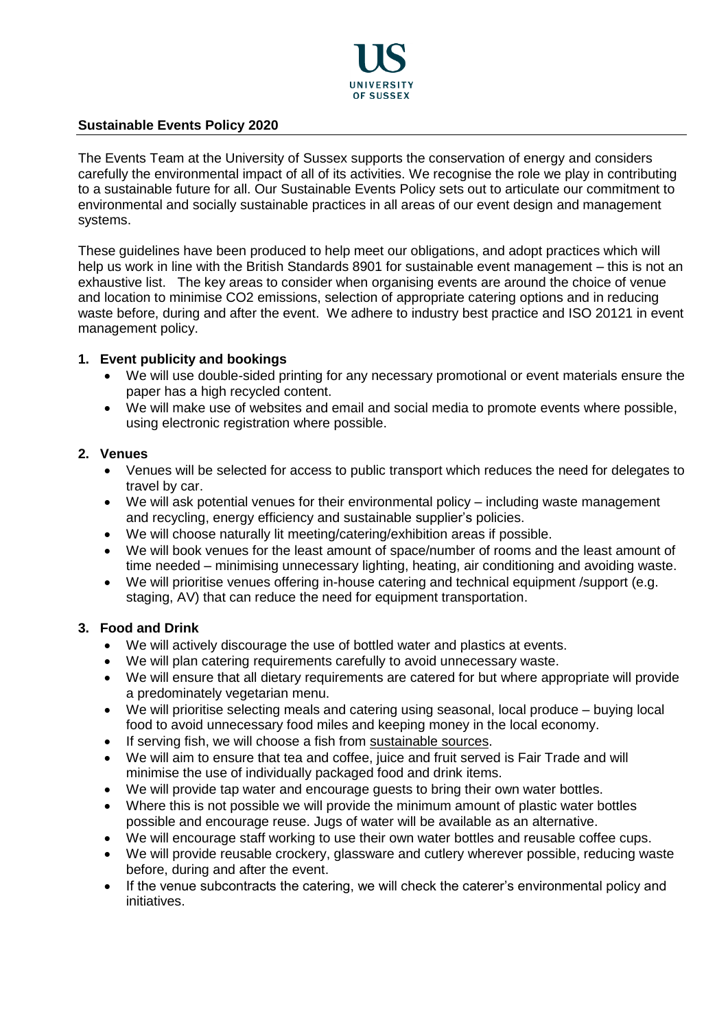

### **Sustainable Events Policy 2020**

The Events Team at the University of Sussex supports the conservation of energy and considers carefully the environmental impact of all of its activities. We recognise the role we play in contributing to a sustainable future for all. Our Sustainable Events Policy sets out to articulate our commitment to environmental and socially sustainable practices in all areas of our event design and management systems.

These guidelines have been produced to help meet our obligations, and adopt practices which will help us work in line with the British Standards 8901 for sustainable event management – this is not an exhaustive list. The key areas to consider when organising events are around the choice of venue and location to minimise CO2 emissions, selection of appropriate catering options and in reducing waste before, during and after the event. We adhere to industry best practice and ISO 20121 in event management policy.

### **1. Event publicity and bookings**

- We will use double-sided printing for any necessary promotional or event materials ensure the paper has a high recycled content.
- We will make use of websites and email and social media to promote events where possible, using electronic registration where possible.

### **2. Venues**

- Venues will be selected for access to public transport which reduces the need for delegates to travel by car.
- We will ask potential venues for their environmental policy including waste management and recycling, energy efficiency and sustainable supplier's policies.
- We will choose naturally lit meeting/catering/exhibition areas if possible.
- We will book venues for the least amount of space/number of rooms and the least amount of time needed – minimising unnecessary lighting, heating, air conditioning and avoiding waste.
- We will prioritise venues offering in-house catering and technical equipment /support (e.g. staging, AV) that can reduce the need for equipment transportation.

## **3. Food and Drink**

- We will actively discourage the use of bottled water and plastics at events.
- We will plan catering requirements carefully to avoid unnecessary waste.
- We will ensure that all dietary requirements are catered for but where appropriate will provide a predominately vegetarian menu.
- We will prioritise selecting meals and catering using seasonal, local produce buying local food to avoid unnecessary food miles and keeping money in the local economy.
- If serving fish, we will choose a fish from [sustainable sources.](https://www.mcsuk.org/goodfishguide/search)
- We will aim to ensure that tea and coffee, juice and fruit served is Fair Trade and will minimise the use of individually packaged food and drink items.
- We will provide tap water and encourage guests to bring their own water bottles.
- Where this is not possible we will provide the minimum amount of plastic water bottles possible and encourage reuse. Jugs of water will be available as an alternative.
- We will encourage staff working to use their own water bottles and reusable coffee cups.
- We will provide reusable crockery, glassware and cutlery wherever possible, reducing waste before, during and after the event.
- If the venue subcontracts the catering, we will check the caterer's environmental policy and initiatives.